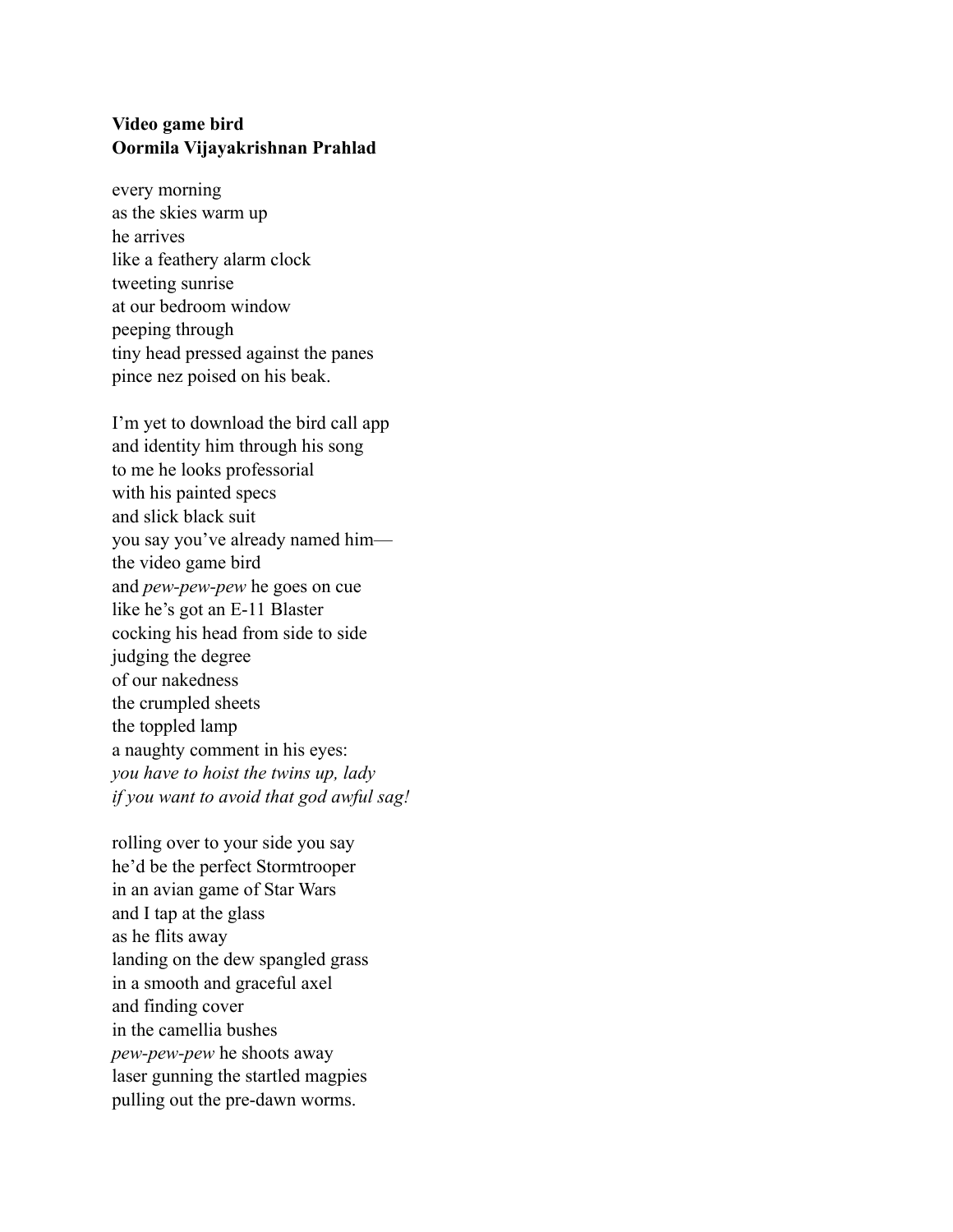## **Video game bird Oormila Vijayakrishnan Prahlad**

every morning as the skies warm up he arrives like a feathery alarm clock tweeting sunrise at our bedroom window peeping through tiny head pressed against the panes pince nez poised on his beak.

I'm yet to download the bird call app and identity him through his song to me he looks professorial with his painted specs and slick black suit you say you've already named him the video game bird and *pew-pew-pew* he goes on cue like he's got an E-11 Blaster cocking his head from side to side judging the degree of our nakedness the crumpled sheets the toppled lamp a naughty comment in his eyes: *you have to hoist the twins up, lady if you want to avoid that god awful sag!* 

rolling over to your side you say he'd be the perfect Stormtrooper in an avian game of Star Wars and I tap at the glass as he flits away landing on the dew spangled grass in a smooth and graceful axel and finding cover in the camellia bushes *pew-pew-pew* he shoots away laser gunning the startled magpies pulling out the pre-dawn worms.